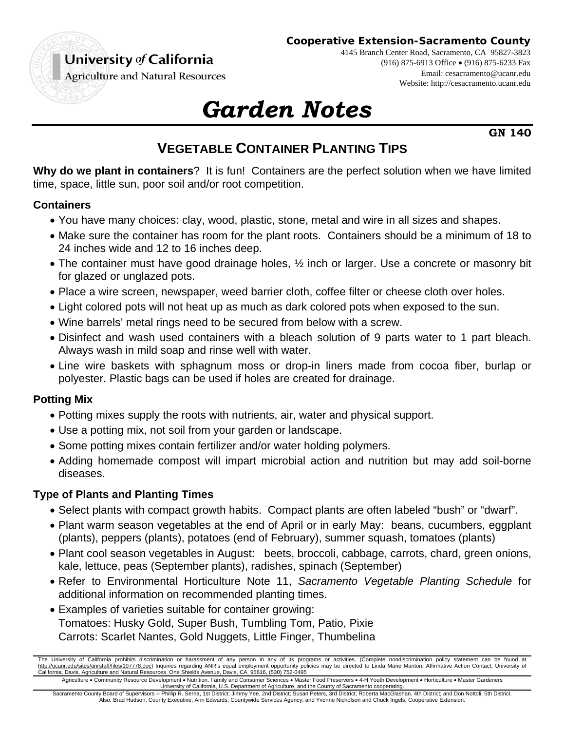## University of California

**Cooperative Extension-Sacramento County**

4145 Branch Center Road, Sacramento, CA 95827-3823

(916) 875-6913 Office (916) 875-6233 Fax

Email: cesacramento@ucanr.edu Website: http://cesacramento.ucanr.edu

**Agriculture and Natural Resources** 

# *Garden Notes*

**GN 140** 

## **VEGETABLE CONTAINER PLANTING TIPS**

**Why do we plant in containers**? It is fun! Containers are the perfect solution when we have limited time, space, little sun, poor soil and/or root competition.

#### **Containers**

- You have many choices: clay, wood, plastic, stone, metal and wire in all sizes and shapes.
- Make sure the container has room for the plant roots. Containers should be a minimum of 18 to 24 inches wide and 12 to 16 inches deep.
- The container must have good drainage holes,  $\frac{1}{2}$  inch or larger. Use a concrete or masonry bit for glazed or unglazed pots.
- Place a wire screen, newspaper, weed barrier cloth, coffee filter or cheese cloth over holes.
- Light colored pots will not heat up as much as dark colored pots when exposed to the sun.
- Wine barrels' metal rings need to be secured from below with a screw.
- Disinfect and wash used containers with a bleach solution of 9 parts water to 1 part bleach. Always wash in mild soap and rinse well with water.
- Line wire baskets with sphagnum moss or drop-in liners made from cocoa fiber, burlap or polyester. Plastic bags can be used if holes are created for drainage.

#### **Potting Mix**

- Potting mixes supply the roots with nutrients, air, water and physical support.
- Use a potting mix, not soil from your garden or landscape.
- Some potting mixes contain fertilizer and/or water holding polymers.
- Adding homemade compost will impart microbial action and nutrition but may add soil-borne diseases.

#### **Type of Plants and Planting Times**

- Select plants with compact growth habits. Compact plants are often labeled "bush" or "dwarf".
- Plant warm season vegetables at the end of April or in early May: beans, cucumbers, eggplant (plants), peppers (plants), potatoes (end of February), summer squash, tomatoes (plants)
- Plant cool season vegetables in August: beets, broccoli, cabbage, carrots, chard, green onions, kale, lettuce, peas (September plants), radishes, spinach (September)
- Refer to Environmental Horticulture Note 11, *Sacramento Vegetable Planting Schedule* for additional information on recommended planting times.
- Examples of varieties suitable for container growing: Tomatoes: Husky Gold, Super Bush, Tumbling Tom, Patio, Pixie Carrots: Scarlet Nantes, Gold Nuggets, Little Finger, Thumbelina

The University of California prohibits discrimination or harassment of any person in any of its programs or activities. (Complete nondiscrimination policy statement can be found at http://ucanr.edu/sites/anrstaff/files/107778.doc) Inquiries regarding ANR's equal employment opportunity policies may be directed to Linda Marie Manton, Affirmative Action Contact, University of California, Davis, Agriculture and Natural Resources, One Shields Avenue, Davis, CA 95616, (530) 752-0495

Agriculture . Community Resource Development . Nutrition, Family and Consumer Sciences . Master Food Preservers . 4-H Youth Development . Horticulture . Master Gardeners University of California, U.S. Department of Agriculture, and the County of Sacramento cooperating.

Sacramento County Board of Supervisors -- Phillip R. Serna, 1st District; Jimmy Yee, 2nd District; Susan Peters, 3rd District; Roberta MacGlashan, 4th District; and Don Nottoli, 5th District. Also, Brad Hudson, County Executive; Ann Edwards, Countywide Services Agency; and Yvonne Nicholson and Chuck Ingels, Cooperative Extension.